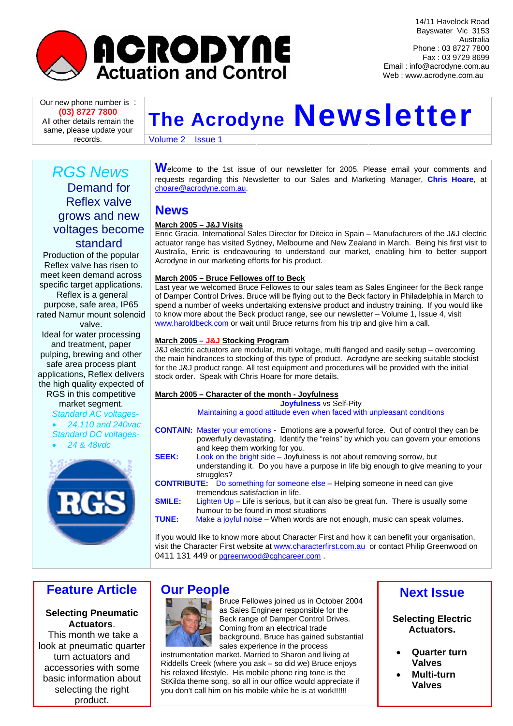

14/11 Havelock Road Bayswater Vic 3153 Australia Phone : 03 8727 7800 Fax : 03 9729 8699 Email : info@acrodyne.com.au Web : www.acrodyne.com.au

**(03) 8727 7800** All other details remain the same, please update your

# **Our new phone number is :**<br>(03) 8727 7800<br>All other details remain the **The Acrodyne Newsletter**

records. Volume 2 Issue 1

# *RGS News*  Demand for Reflex valve grows and new voltages become standard

Production of the popular Reflex valve has risen to meet keen demand across specific target applications. Reflex is a general purpose, safe area, IP65 rated Namur mount solenoid

valve.

Ideal for water processing and treatment, paper pulping, brewing and other safe area process plant applications, Reflex delivers the high quality expected of RGS in this competitive

market segment.

*Standard AC voltages-*  • *24,110 and 240vac Standard DC voltages-* 

• *24 & 48vdc* 



Welcome to the 1st issue of our newsletter for 2005. Please email your comments and requests regarding this Newsletter to our Sales and Marketing Manager, **Chris Hoare**, at [choare@acrodyne.com.au.](mailto:choare@acrodyne.com.au)

# **News**

## **March 2005 – J&J Visits**

Enric Gracia, International Sales Director for Diteico in Spain – Manufacturers of the J&J electric actuator range has visited Sydney, Melbourne and New Zealand in March. Being his first visit to Australia, Enric is endeavouring to understand our market, enabling him to better support Acrodyne in our marketing efforts for his product.

#### **March 2005 – Bruce Fellowes off to Beck**

Last year we welcomed Bruce Fellowes to our sales team as Sales Engineer for the Beck range of Damper Control Drives. Bruce will be flying out to the Beck factory in Philadelphia in March to spend a number of weeks undertaking extensive product and industry training. If you would like to know more about the Beck product range, see our newsletter – Volume 1, Issue 4, visit [www.haroldbeck.com](http://www.haroldbeck.com/) or wait until Bruce returns from his trip and give him a call.

#### **March 2005 – J&J Stocking Program**

J&J electric actuators are modular, multi voltage, multi flanged and easily setup – overcoming the main hindrances to stocking of this type of product. Acrodyne are seeking suitable stockist for the J&J product range. All test equipment and procedures will be provided with the initial stock order. Speak with Chris Hoare for more details.

#### **March 2005 – Character of the month - Joyfulness**

**Joyfulness** vs Self-Pity Maintaining a good attitude even when faced with unpleasant conditions

- **CONTAIN:** Master your emotions Emotions are a powerful force. Out of control they can be powerfully devastating. Identify the "reins" by which you can govern your emotions and keep them working for you.
- **SEEK:** Look on the bright side Joyfulness is not about removing sorrow, but understanding it. Do you have a purpose in life big enough to give meaning to your struggles?
- **CONTRIBUTE:** Do something for someone else Helping someone in need can give tremendous satisfaction in life.
- **SMILE:** Lighten Up Life is serious, but it can also be great fun. There is usually some humour to be found in most situations
- **TUNE:** Make a joyful noise When words are not enough, music can speak volumes.

If you would like to know more about Character First and how it can benefit your organisation, visit the Character First website at [www.characterfirst.com.au](http://www.characterfirst.com.au/) or contact Philip Greenwood on 0411 131 449 or [pgreenwood@cghcareer.com](mailto:pgreenwood@cghcareer.com).

# **Feature Article**

**Selecting Pneumatic Actuators**.

 This month we take a look at pneumatic quarter turn actuators and accessories with some basic information about selecting the right product.

# **Our People**



Bruce Fellowes joined us in October 2004 as Sales Engineer responsible for the Beck range of Damper Control Drives. Coming from an electrical trade background, Bruce has gained substantial sales experience in the process instrumentation market. Married to Sharon and living at

Riddells Creek (where you ask – so did we) Bruce enjoys his relaxed lifestyle. His mobile phone ring tone is the StKilda theme song, so all in our office would appreciate if you don't call him on his mobile while he is at work!!!!!!

# **Next Issue**

**Selecting Electric Actuators.** 

- **Quarter turn Valves**
- **Multi-turn Valves**